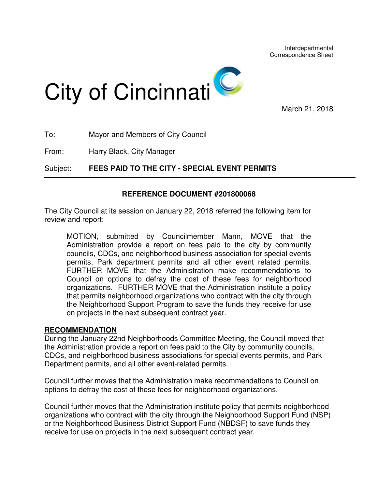

March 21, 2018

| Subject: | FEES PAID TO THE CITY - SPECIAL EVENT PERMITS |
|----------|-----------------------------------------------|
| From:    | Harry Black, City Manager                     |
| To:      | Mayor and Members of City Council             |

## **REFERENCE DOCUMENT #201800068**

The City Council at its session on January 22, 2018 referred the following item for review and report:

MOTION, submitted by Councilmember Mann, MOVE that the Administration provide a report on fees paid to the city by community councils, CDCs, and neighborhood business association for special events permits, Park department permits and all other event related permits. FURTHER MOVE that the Administration make recommendations to Council on options to defray the cost of these fees for neighborhood organizations. FURTHER MOVE that the Administration institute a policy that permits neighborhood organizations who contract with the city through the Neighborhood Support Program to save the funds they receive for use on projects in the next subsequent contract year.

## **RECOMMENDATION**

During the January 22nd Neighborhoods Committee Meeting, the Council moved that the Administration provide a report on fees paid to the City by community councils, CDCs, and neighborhood business associations for special events permits, and Park Department permits, and all other event-related permits.

Council further moves that the Administration make recommendations to Council on options to defray the cost of these fees for neighborhood organizations.

Council further moves that the Administration institute policy that permits neighborhood organizations who contract with the city through the Neighborhood Support Fund (NSP) or the Neighborhood Business District Support Fund (NBDSF) to save funds they receive for use on projects in the next subsequent contract year.